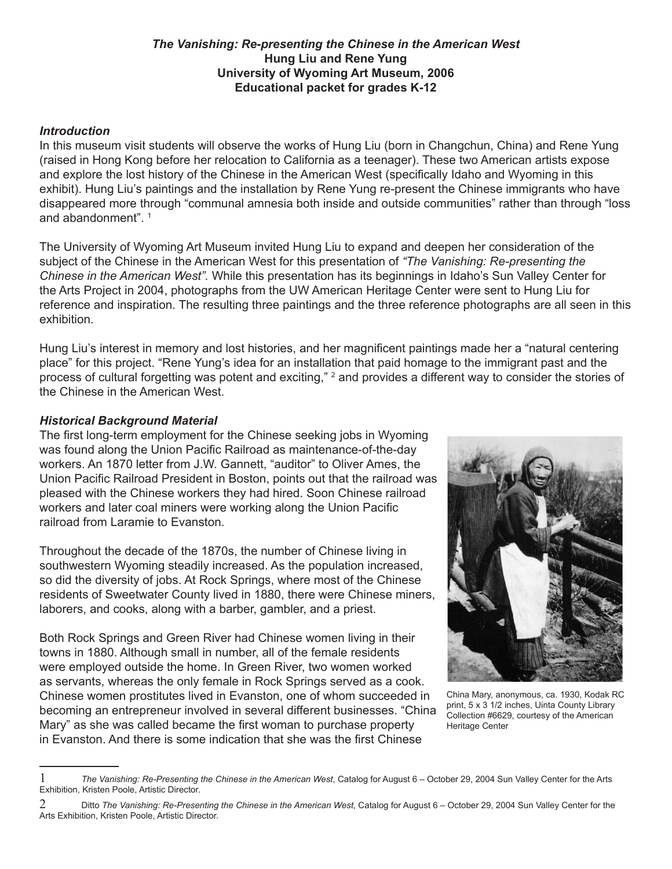### *The Vanishing: Re-presenting the Chinese in the American West* **Hung Liu and Rene Yung University of Wyoming Art Museum, 2006 Educational packet for grades K-12**

#### *Introduction*

In this museum visit students will observe the works of Hung Liu (born in Changchun, China) and Rene Yung (raised in Hong Kong before her relocation to California as a teenager). These two American artists expose and explore the lost history of the Chinese in the American West (specifically Idaho and Wyoming in this exhibit). Hung Liu's paintings and the installation by Rene Yung re-present the Chinese immigrants who have disappeared more through "communal amnesia both inside and outside communities" rather than through "loss and abandonment".

The University of Wyoming Art Museum invited Hung Liu to expand and deepen her consideration of the subject of the Chinese in the American West for this presentation of *"The Vanishing: Re-presenting the Chinese in the American West".* While this presentation has its beginnings in Idaho's Sun Valley Center for the Arts Project in 2004, photographs from the UW American Heritage Center were sent to Hung Liu for reference and inspiration. The resulting three paintings and the three reference photographs are all seen in this exhibition.

Hung Liu's interest in memory and lost histories, and her magnificent paintings made her a "natural centering place" for this project. "Rene Yung's idea for an installation that paid homage to the immigrant past and the process of cultural forgetting was potent and exciting," <sup>2</sup> and provides a different way to consider the stories of the Chinese in the American West.

#### *Historical Background Material*

The first long-term employment for the Chinese seeking jobs in Wyoming was found along the Union Pacific Railroad as maintenance-of-the-day workers. An 1870 letter from J.W. Gannett, "auditor" to Oliver Ames, the Union Pacific Railroad President in Boston, points out that the railroad was pleased with the Chinese workers they had hired. Soon Chinese railroad workers and later coal miners were working along the Union Pacific railroad from Laramie to Evanston.

Throughout the decade of the 1870s, the number of Chinese living in southwestern Wyoming steadily increased. As the population increased, so did the diversity of jobs. At Rock Springs, where most of the Chinese residents of Sweetwater County lived in 1880, there were Chinese miners, laborers, and cooks, along with a barber, gambler, and a priest.

Both Rock Springs and Green River had Chinese women living in their towns in 1880. Although small in number, all of the female residents were employed outside the home. In Green River, two women worked as servants, whereas the only female in Rock Springs served as a cook. Chinese women prostitutes lived in Evanston, one of whom succeeded in becoming an entrepreneur involved in several different businesses. "China Mary" as she was called became the first woman to purchase property in Evanston. And there is some indication that she was the first Chinese



China Mary, anonymous, ca. 1930, Kodak RC print, 5 x 3 1/2 inches, Uinta County Library Collection #6629, courtesy of the American Heritage Center

 *The Vanishing: Re-Presenting the Chinese in the American West*, Catalog for August 6 – October 29, 2004 Sun Valley Center for the Arts Exhibition, Kristen Poole, Artistic Director.

Ditto *The Vanishing: Re-Presenting the Chinese in the American West*, Catalog for August 6 – October 29, 2004 Sun Valley Center for the Arts Exhibition, Kristen Poole, Artistic Director.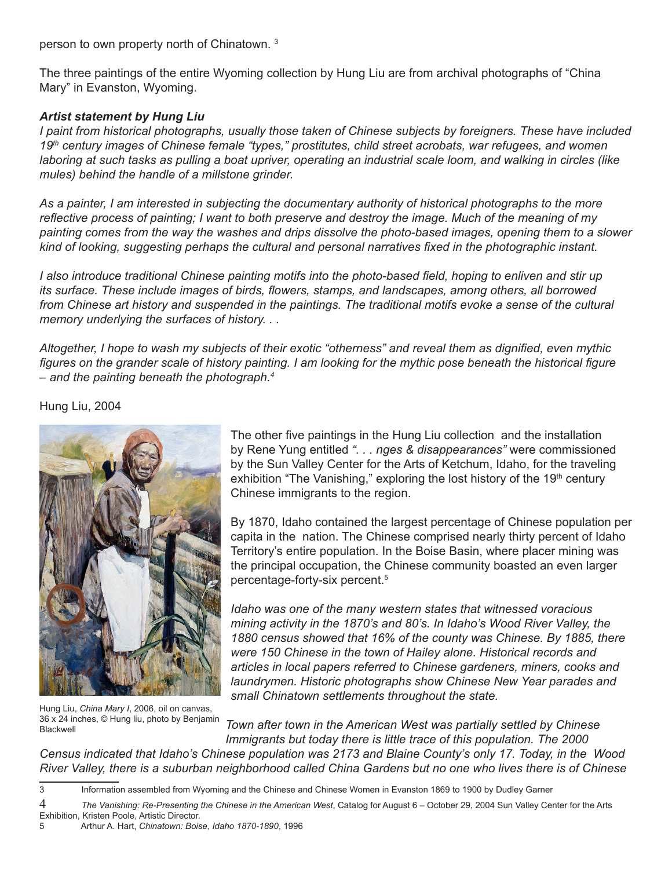person to own property north of Chinatown.<sup>3</sup>

The three paintings of the entire Wyoming collection by Hung Liu are from archival photographs of "China Mary" in Evanston, Wyoming.

### *Artist statement by Hung Liu*

*I paint from historical photographs, usually those taken of Chinese subjects by foreigners. These have included 19th century images of Chinese female "types," prostitutes, child street acrobats, war refugees, and women laboring at such tasks as pulling a boat upriver, operating an industrial scale loom, and walking in circles (like mules) behind the handle of a millstone grinder.*

*As a painter, I am interested in subjecting the documentary authority of historical photographs to the more reflective process of painting; I want to both preserve and destroy the image. Much of the meaning of my painting comes from the way the washes and drips dissolve the photo-based images, opening them to a slower kind of looking, suggesting perhaps the cultural and personal narratives fixed in the photographic instant.*

*I also introduce traditional Chinese painting motifs into the photo-based field, hoping to enliven and stir up its surface. These include images of birds, flowers, stamps, and landscapes, among others, all borrowed*  from Chinese art history and suspended in the paintings. The traditional motifs evoke a sense of the cultural *memory underlying the surfaces of history. . .*

*Altogether, I hope to wash my subjects of their exotic "otherness" and reveal them as dignified, even mythic*  figures on the grander scale of history painting. I am looking for the mythic pose beneath the historical figure *– and the painting beneath the photograph.*

Hung Liu, 2004



The other five paintings in the Hung Liu collection and the installation by Rene Yung entitled *". . . nges & disappearances"* were commissioned by the Sun Valley Center for the Arts of Ketchum, Idaho, for the traveling exhibition "The Vanishing," exploring the lost history of the  $19<sup>th</sup>$  century Chinese immigrants to the region.

By 1870, Idaho contained the largest percentage of Chinese population per capita in the nation. The Chinese comprised nearly thirty percent of Idaho Territory's entire population. In the Boise Basin, where placer mining was the principal occupation, the Chinese community boasted an even larger percentage-forty-six percent.

*Idaho was one of the many western states that witnessed voracious mining activity in the 1870's and 80's. In Idaho's Wood River Valley, the 1880 census showed that 16% of the county was Chinese. By 1885, there were 150 Chinese in the town of Hailey alone. Historical records and articles in local papers referred to Chinese gardeners, miners, cooks and laundrymen. Historic photographs show Chinese New Year parades and small Chinatown settlements throughout the state.*

Hung Liu, *China Mary I*, 2006, oil on canvas, 36 x 24 inches, © Hung liu, photo by Benjamin Blackwell

*Town after town in the American West was partially settled by Chinese Immigrants but today there is little trace of this population. The 2000 Census indicated that Idaho's Chinese population was 2173 and Blaine County's only 17. Today, in the Wood* 

*River Valley, there is a suburban neighborhood called China Gardens but no one who lives there is of Chinese* 

 $\mathcal{S}$ Information assembled from Wyoming and the Chinese and Chinese Women in Evanston 1869 to 1900 by Dudley Garner

 *The Vanishing: Re-Presenting the Chinese in the American West*, Catalog for August 6 – October 29, 2004 Sun Valley Center for the Arts Exhibition, Kristen Poole, Artistic Director.

Arthur A. Hart, *Chinatown: Boise, Idaho 1870-1890*, 1996 5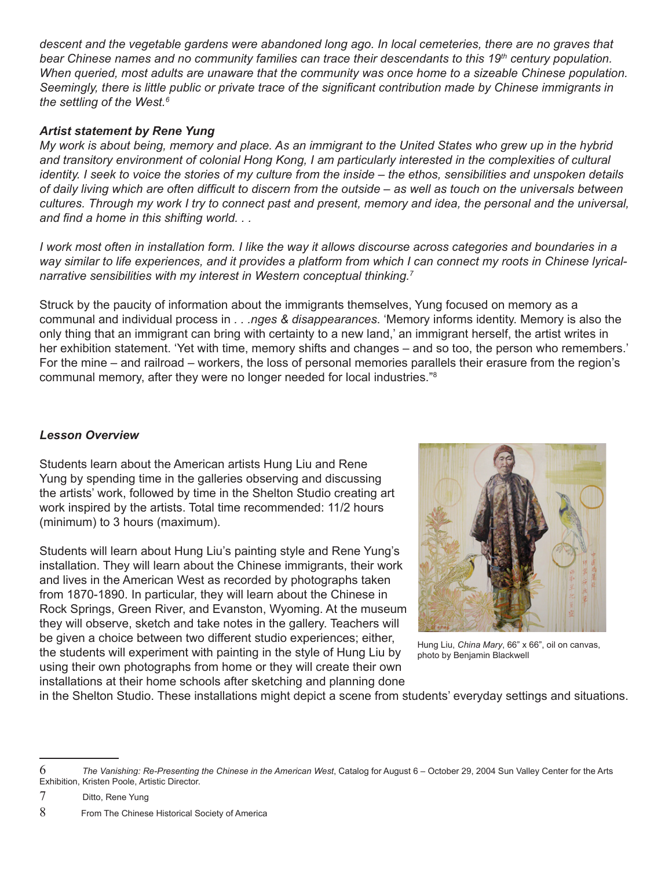*descent and the vegetable gardens were abandoned long ago. In local cemeteries, there are no graves that bear Chinese names and no community families can trace their descendants to this 19th century population. When queried, most adults are unaware that the community was once home to a sizeable Chinese population. Seemingly, there is little public or private trace of the significant contribution made by Chinese immigrants in the settling of the West.*

# *Artist statement by Rene Yung*

*My work is about being, memory and place. As an immigrant to the United States who grew up in the hybrid*  and transitory environment of colonial Hong Kong, I am particularly interested in the complexities of cultural *identity. I seek to voice the stories of my culture from the inside – the ethos, sensibilities and unspoken details of daily living which are often difficult to discern from the outside – as well as touch on the universals between cultures. Through my work I try to connect past and present, memory and idea, the personal and the universal, and find a home in this shifting world. . .*

*I* work most often in installation form. I like the way it allows discourse across categories and boundaries in a *way similar to life experiences, and it provides a platform from which I can connect my roots in Chinese lyricalnarrative sensibilities with my interest in Western conceptual thinking.*

Struck by the paucity of information about the immigrants themselves, Yung focused on memory as a communal and individual process in *. . .nges & disappearances*. 'Memory informs identity. Memory is also the only thing that an immigrant can bring with certainty to a new land,' an immigrant herself, the artist writes in her exhibition statement. 'Yet with time, memory shifts and changes – and so too, the person who remembers.' For the mine – and railroad – workers, the loss of personal memories parallels their erasure from the region's communal memory, after they were no longer needed for local industries."

# *Lesson Overview*

Students learn about the American artists Hung Liu and Rene Yung by spending time in the galleries observing and discussing the artists' work, followed by time in the Shelton Studio creating art work inspired by the artists. Total time recommended: 11/2 hours (minimum) to 3 hours (maximum).

Students will learn about Hung Liu's painting style and Rene Yung's installation. They will learn about the Chinese immigrants, their work and lives in the American West as recorded by photographs taken from 1870-1890. In particular, they will learn about the Chinese in Rock Springs, Green River, and Evanston, Wyoming. At the museum they will observe, sketch and take notes in the gallery. Teachers will be given a choice between two different studio experiences; either, the students will experiment with painting in the style of Hung Liu by using their own photographs from home or they will create their own installations at their home schools after sketching and planning done



Hung Liu, *China Mary*, 66" x 66", oil on canvas, photo by Benjamin Blackwell

in the Shelton Studio. These installations might depict a scene from students' everyday settings and situations.

 *The Vanishing: Re-Presenting the Chinese in the American West*, Catalog for August 6 – October 29, 2004 Sun Valley Center for the Arts Exhibition, Kristen Poole, Artistic Director.

 Ditto, Rene Yung

 From The Chinese Historical Society of America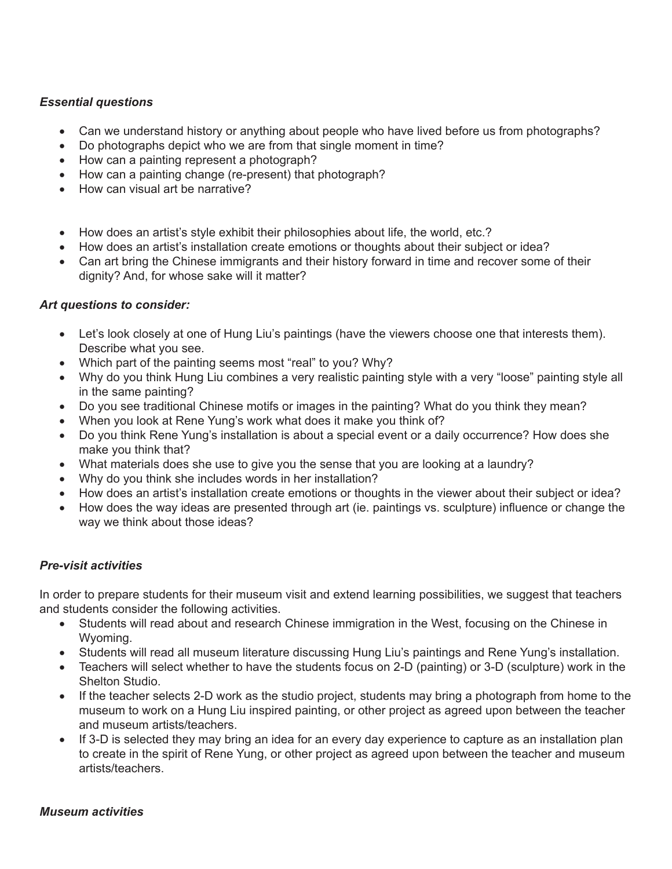# *Essential questions*

- Can we understand history or anything about people who have lived before us from photographs?
- Do photographs depict who we are from that single moment in time?
- How can a painting represent a photograph?
- How can a painting change (re-present) that photograph?
- How can visual art be narrative?
- How does an artist's style exhibit their philosophies about life, the world, etc.?
- How does an artist's installation create emotions or thoughts about their subject or idea?
- Can art bring the Chinese immigrants and their history forward in time and recover some of their dignity? And, for whose sake will it matter?

# *Art questions to consider:*

- Let's look closely at one of Hung Liu's paintings (have the viewers choose one that interests them). Describe what you see.
- Which part of the painting seems most "real" to you? Why?
- Why do you think Hung Liu combines a very realistic painting style with a very "loose" painting style all in the same painting?
- Do you see traditional Chinese motifs or images in the painting? What do you think they mean?
- When you look at Rene Yung's work what does it make you think of?
- Do you think Rene Yung's installation is about a special event or a daily occurrence? How does she make you think that?
- What materials does she use to give you the sense that you are looking at a laundry?
- Why do you think she includes words in her installation?
- How does an artist's installation create emotions or thoughts in the viewer about their subject or idea?
- How does the way ideas are presented through art (ie. paintings vs. sculpture) influence or change the way we think about those ideas?

#### *Pre-visit activities*

In order to prepare students for their museum visit and extend learning possibilities, we suggest that teachers and students consider the following activities.

- Students will read about and research Chinese immigration in the West, focusing on the Chinese in Wyoming.
- Students will read all museum literature discussing Hung Liu's paintings and Rene Yung's installation.
- Teachers will select whether to have the students focus on 2-D (painting) or 3-D (sculpture) work in the Shelton Studio.
- If the teacher selects 2-D work as the studio project, students may bring a photograph from home to the museum to work on a Hung Liu inspired painting, or other project as agreed upon between the teacher and museum artists/teachers.
- If 3-D is selected they may bring an idea for an every day experience to capture as an installation plan to create in the spirit of Rene Yung, or other project as agreed upon between the teacher and museum artists/teachers.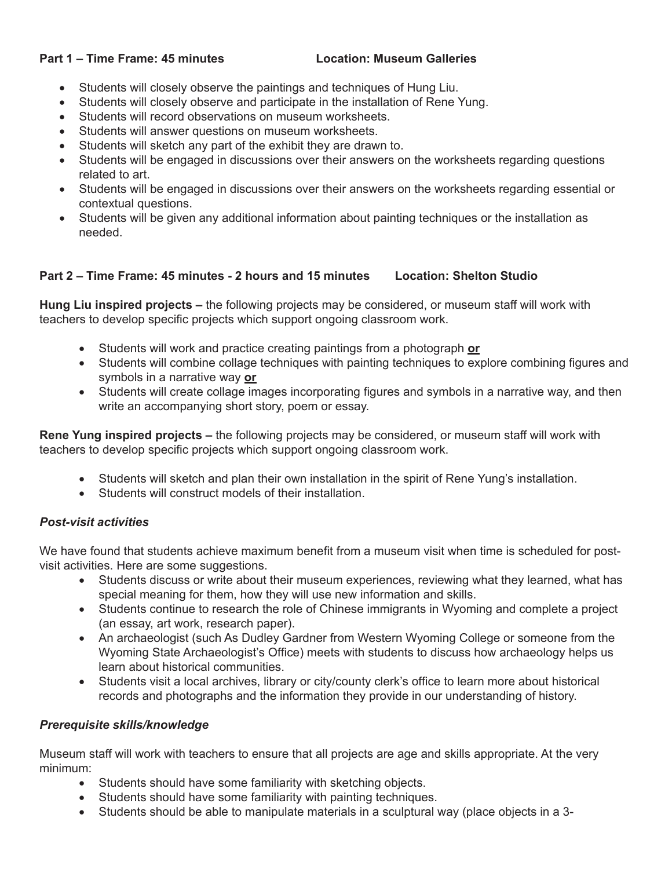#### **Part 1 – Time Frame: 45 minutes Location: Museum Galleries**

- Students will closely observe the paintings and techniques of Hung Liu.
- Students will closely observe and participate in the installation of Rene Yung.
- Students will record observations on museum worksheets.
- Students will answer questions on museum worksheets.
- Students will sketch any part of the exhibit they are drawn to.
- Students will be engaged in discussions over their answers on the worksheets regarding questions related to art.
- Students will be engaged in discussions over their answers on the worksheets regarding essential or contextual questions.
- Students will be given any additional information about painting techniques or the installation as needed.

# **Part 2 – Time Frame: 45 minutes - 2 hours and 15 minutes Location: Shelton Studio**

**Hung Liu inspired projects –** the following projects may be considered, or museum staff will work with teachers to develop specific projects which support ongoing classroom work.

- Students will work and practice creating paintings from a photograph **or**
- Students will combine collage techniques with painting techniques to explore combining figures and symbols in a narrative way **or**
- Students will create collage images incorporating figures and symbols in a narrative way, and then write an accompanying short story, poem or essay.

**Rene Yung inspired projects –** the following projects may be considered, or museum staff will work with teachers to develop specific projects which support ongoing classroom work.

- Students will sketch and plan their own installation in the spirit of Rene Yung's installation.
- Students will construct models of their installation

#### *Post-visit activities*

We have found that students achieve maximum benefit from a museum visit when time is scheduled for postvisit activities. Here are some suggestions.

- Students discuss or write about their museum experiences, reviewing what they learned, what has special meaning for them, how they will use new information and skills.
- Students continue to research the role of Chinese immigrants in Wyoming and complete a project (an essay, art work, research paper).
- An archaeologist (such As Dudley Gardner from Western Wyoming College or someone from the Wyoming State Archaeologist's Office) meets with students to discuss how archaeology helps us learn about historical communities.
- Students visit a local archives, library or city/county clerk's office to learn more about historical records and photographs and the information they provide in our understanding of history.

#### *Prerequisite skills/knowledge*

Museum staff will work with teachers to ensure that all projects are age and skills appropriate. At the very minimum:

- Students should have some familiarity with sketching objects.
- Students should have some familiarity with painting techniques.
- Students should be able to manipulate materials in a sculptural way (place objects in a 3-